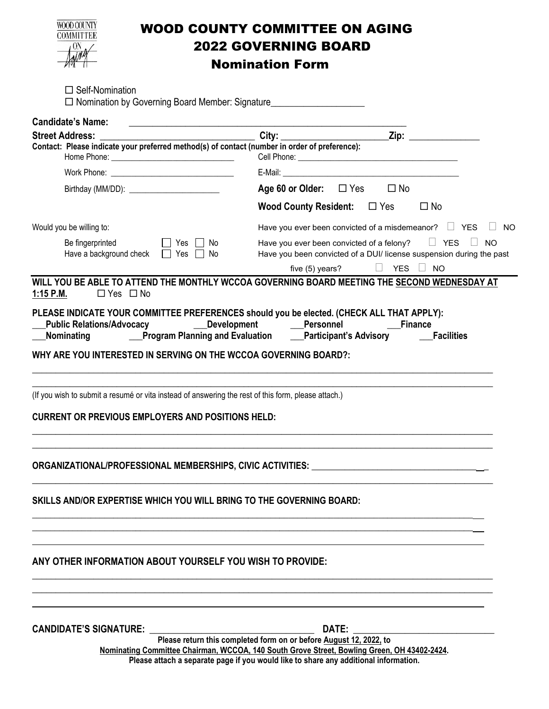|  | <b>DOD COUNT</b> |          |
|--|------------------|----------|
|  |                  | IMMITTEE |
|  |                  |          |
|  |                  |          |
|  |                  |          |

## WOOD COUNTY COMMITTEE ON AGING 2022 GOVERNING BOARD

Nomination Form

| $\Box$ Self-Nomination<br>□ Nomination by Governing Board Member: Signature_______________________________                                                                                                                                               |                                                                    |                                                                                                                                                                                                                                |
|----------------------------------------------------------------------------------------------------------------------------------------------------------------------------------------------------------------------------------------------------------|--------------------------------------------------------------------|--------------------------------------------------------------------------------------------------------------------------------------------------------------------------------------------------------------------------------|
| <b>Candidate's Name:</b>                                                                                                                                                                                                                                 |                                                                    |                                                                                                                                                                                                                                |
| <b>Street Address:</b><br>Contact: Please indicate your preferred method(s) of contact (number in order of preference):                                                                                                                                  |                                                                    | Zip: the contract of the contract of the contract of the contract of the contract of the contract of the contract of the contract of the contract of the contract of the contract of the contract of the contract of the contr |
|                                                                                                                                                                                                                                                          |                                                                    |                                                                                                                                                                                                                                |
|                                                                                                                                                                                                                                                          | Age 60 or Older: $\Box$ Yes                                        | $\square$ No                                                                                                                                                                                                                   |
|                                                                                                                                                                                                                                                          |                                                                    | <b>Wood County Resident:</b> □ Yes<br>$\square$ No                                                                                                                                                                             |
| Would you be willing to:                                                                                                                                                                                                                                 |                                                                    | Have you ever been convicted of a misdemeanor? $\Box$ YES<br>NO.                                                                                                                                                               |
| Be fingerprinted<br>    Yes     No<br>Have a background check $\Box$ Yes $\Box$ No                                                                                                                                                                       |                                                                    | Have you ever been convicted of a felony? $\Box$ YES $\Box$<br><b>NO</b><br>Have you been convicted of a DUI/ license suspension during the past                                                                               |
| WILL YOU BE ABLE TO ATTEND THE MONTHLY WCCOA GOVERNING BOARD MEETING THE SECOND WEDNESDAY AT                                                                                                                                                             |                                                                    | five (5) years?<br>YES $\Box$<br><b>NO</b>                                                                                                                                                                                     |
| $1:15$ P.M.<br>$\Box$ Yes $\Box$ No                                                                                                                                                                                                                      |                                                                    |                                                                                                                                                                                                                                |
| PLEASE INDICATE YOUR COMMITTEE PREFERENCES should you be elected. (CHECK ALL THAT APPLY):<br>Public Relations/Advocacy ________Development ________Personnel ________________Finance<br>WHY ARE YOU INTERESTED IN SERVING ON THE WCCOA GOVERNING BOARD?: |                                                                    |                                                                                                                                                                                                                                |
| (If you wish to submit a resumé or vita instead of answering the rest of this form, please attach.)<br><b>CURRENT OR PREVIOUS EMPLOYERS AND POSITIONS HELD:</b>                                                                                          |                                                                    |                                                                                                                                                                                                                                |
|                                                                                                                                                                                                                                                          |                                                                    |                                                                                                                                                                                                                                |
| SKILLS AND/OR EXPERTISE WHICH YOU WILL BRING TO THE GOVERNING BOARD:                                                                                                                                                                                     |                                                                    |                                                                                                                                                                                                                                |
| ANY OTHER INFORMATION ABOUT YOURSELF YOU WISH TO PROVIDE:                                                                                                                                                                                                |                                                                    |                                                                                                                                                                                                                                |
| <b>CANDIDATE'S SIGNATURE:</b>                                                                                                                                                                                                                            | Please return this completed form on or before August 12, 2022, to | DATE:                                                                                                                                                                                                                          |
| Nominating Committee Chairman, WCCOA, 140 South Grove Street, Bowling Green, OH 43402-2424.<br>Please attach a separate page if you would like to share any additional information.                                                                      |                                                                    |                                                                                                                                                                                                                                |